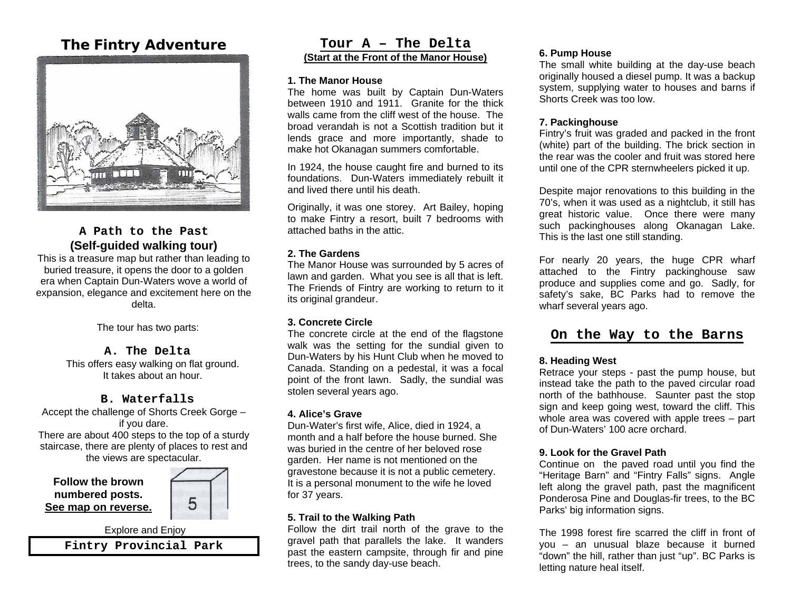# **The Fintry Adventure**



# **A Path to the Past (Self-guided walking tour)**

This is a treasure map but rather than leading to buried treasure, it opens the door to a golden era when Captain Dun-Waters wove a world of expansion, elegance and excitement here on the delta.

The tour has two parts:

#### **A. The Delta**

This offers easy walking on flat ground. It takes about an hour.

# **B. Waterfalls**

Accept the challenge of Shorts Creek Gorge – if you dare. There are about 400 steps to the top of a sturdy

staircase, there are plenty of places to rest and the views are spectacular.

**Fintry Provincial Park** 

**Follow the brown numbered posts. See map on reverse.**



#### **Tour A – The Delta (Start at the Front of the Manor House)**

#### **1. The Manor House**

The home was built by Captain Dun-Waters between 1910 and 1911. Granite for the thick walls came from the cliff west of the house. The broad verandah is not a Scottish tradition but it lends grace and more importantly, shade to make hot Okanagan summers comfortable.

In 1924, the house caught fire and burned to its foundations. Dun-Waters immediately rebuilt it and lived there until his death.

Originally, it was one storey. Art Bailey, hoping to make Fintry a resort, built 7 bedrooms with attached baths in the attic.

# **2. The Gardens**

The Manor House was surrounded by 5 acres of lawn and garden. What you see is all that is left. The Friends of Fintry are working to return to it its original grandeur.

# **3. Concrete Circle**

 The concrete circle at the end of the flagstone walk was the setting for the sundial given to Dun-Waters by his Hunt Club when he moved to Canada. Standing on a pedestal, it was a focal point of the front lawn. Sadly, the sundial was stolen several years ago.

# **4. Alice's Grave**

Dun-Water's first wife, Alice, died in 1924, a month and a half before the house burned. She was buried in the centre of her beloved rose garden. Her name is not mentioned on the gravestone because it is not a public cemetery. It is a personal monument to the wife he loved for 37 years.

# **5. Trail to the Walking Path**

Follow the dirt trail north of the grave to the gravel path that parallels the lake. It wanders past the eastern campsite, through fir and pine trees, to the sandy day-use beach.

#### **6. Pump House**

The small white building at the day-use beach originally housed a diesel pump. It was a backup system, supplying water to houses and barns if Shorts Creek was too low.

#### **7. Packinghouse**

Fintry's fruit was graded and packed in the front (white) part of the building. The brick section in the rear was the cooler and fruit was stored here until one of the CPR sternwheelers picked it up.

Despite major renovations to this building in the 70's, when it was used as a nightclub, it still has great historic value. Once there were many such packinghouses along Okanagan Lake. This is the last one still standing.

For nearly 20 years, the huge CPR wharf attached to the Fintry packinghouse saw produce and supplies come and go. Sadly, for safety's sake, BC Parks had to remove the wharf several years ago.

# **On the Way to the Barns**

#### **8. Heading West**

Retrace your steps - past the pump house, but instead take the path to the paved circular road north of the bathhouse. Saunter past the stop sign and keep going west, toward the cliff. This whole area was covered with apple trees – part of Dun-Waters' 100 acre orchard.

#### **9. Look for the Gravel Path**

Continue on the paved road until you find the "Heritage Barn" and "Fintry Falls" signs. Angle left along the gravel path, past the magnificent Ponderosa Pine and Douglas-fir trees, to the BC Parks' big information signs.

The 1998 forest fire scarred the cliff in front of you – an unusual blaze because it burned "down" the hill, rather than just "up". BC Parks is letting nature heal itself.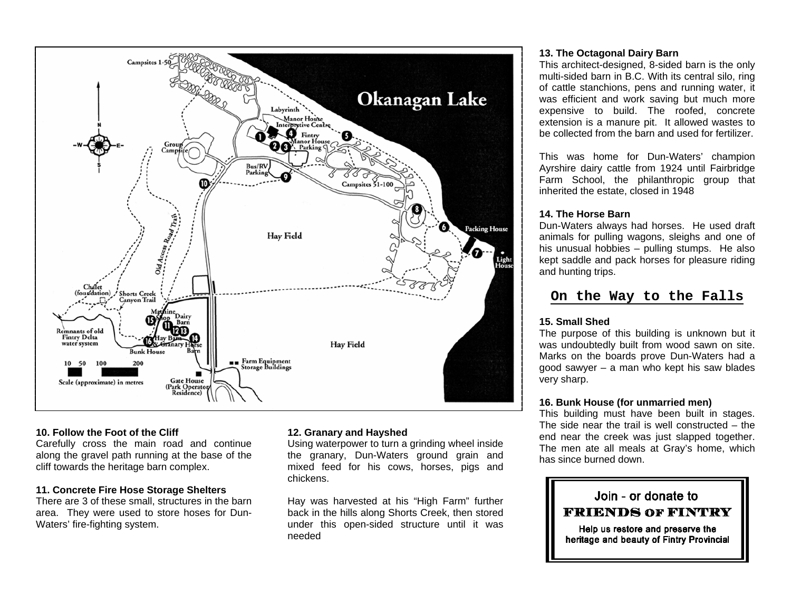

#### **10. Follow the Foot of the Cliff**

Carefully cross the main road and continue along the gravel path running at the base of the cliff towards the heritage barn complex.

#### **11. Concrete Fire Hose Storage Shelters**

There are 3 of these small, structures in the barn area. They were used to store hoses for Dun-Waters' fire-fighting system.

# **12. Granary and Hayshed**

Using waterpower to turn a grinding wheel inside the granary, Dun-Waters ground grain and mixed feed for his cows, horses, pigs and chickens.

Hay was harvested at his "High Farm" further back in the hills along Shorts Creek, then stored under this open-sided structure until it was needed

### **13. The Octagonal Dairy Barn**

This architect-designed, 8-sided barn is the only multi-sided barn in B.C. With its central silo, ring of cattle stanchions, pens and running water, it was efficient and work saving but much more expensive to build. The roofed, concrete extension is a manure pit. It allowed wastes to be collected from the barn and used for fertilizer.

This was home for Dun-Waters' champion Ayrshire dairy cattle from 1924 until Fairbridge Farm School, the philanthropic group that inherited the estate, closed in 1948

# **14. The Horse Barn**

Dun-Waters always had horses. He used draft animals for pulling wagons, sleighs and one of his unusual hobbies – pulling stumps. He also kept saddle and pack horses for pleasure riding and hunting trips.

# **On the Way to the Falls**

# **15. Small Shed**

The purpose of this building is unknown but it was undoubtedly built from wood sawn on site. Marks on the boards prove Dun-Waters had a good sawyer – a man who kept his saw blades very sharp.

# **16. Bunk House (for unmarried men)**

This building must have been built in stages. The side near the trail is well constructed – the end near the creek was just slapped together. The men ate all meals at Gray's home, which has since burned down.